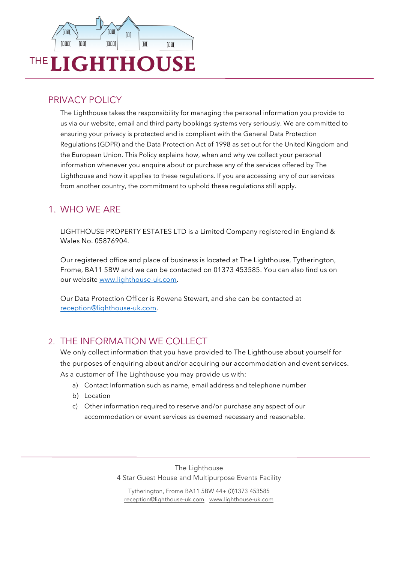

## PRIVACY POLICY

The Lighthouse takes the responsibility for managing the personal information you provide to us via our website, email and third party bookings systems very seriously. We are committed to ensuring your privacy is protected and is compliant with the General Data Protection Regulations (GDPR) and the Data Protection Act of 1998 as set out for the United Kingdom and the European Union. This Policy explains how, when and why we collect your personal information whenever you enquire about or purchase any of the services offered by The Lighthouse and how it applies to these regulations. If you are accessing any of our services from another country, the commitment to uphold these regulations still apply.

# 1. WHO WE ARE

LIGHTHOUSE PROPERTY ESTATES LTD is a Limited Company registered in England & Wales No. 05876904.

Our registered office and place of business is located at The Lighthouse, Tytherington, Frome, BA11 5BW and we can be contacted on 01373 453585. You can also find us on our website www.lighthouse-uk.com.

Our Data Protection Officer is Rowena Stewart, and she can be contacted at reception@lighthouse-uk.com.

## 2. THE INFORMATION WE COLLECT

We only collect information that you have provided to The Lighthouse about yourself for the purposes of enquiring about and/or acquiring our accommodation and event services. As a customer of The Lighthouse you may provide us with:

- a) Contact Information such as name, email address and telephone number
- b) Location
- c) Other information required to reserve and/or purchase any aspect of our accommodation or event services as deemed necessary and reasonable.

The Lighthouse 4 Star Guest House and Multipurpose Events Facility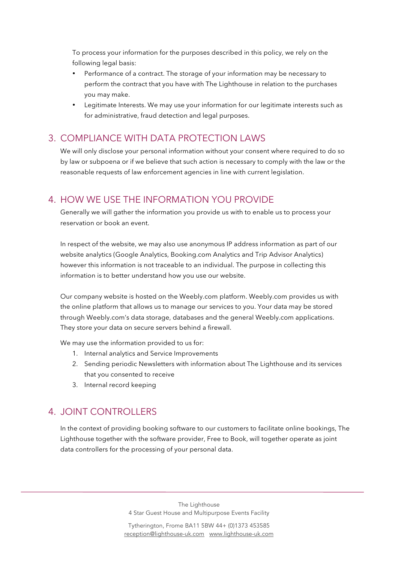To process your information for the purposes described in this policy, we rely on the following legal basis:

- Performance of a contract. The storage of your information may be necessary to perform the contract that you have with The Lighthouse in relation to the purchases you may make.
- Legitimate Interests. We may use your information for our legitimate interests such as for administrative, fraud detection and legal purposes.

# 3. COMPLIANCE WITH DATA PROTECTION LAWS

We will only disclose your personal information without your consent where required to do so by law or subpoena or if we believe that such action is necessary to comply with the law or the reasonable requests of law enforcement agencies in line with current legislation.

## 4. HOW WE USE THE INFORMATION YOU PROVIDE

Generally we will gather the information you provide us with to enable us to process your reservation or book an event.

In respect of the website, we may also use anonymous IP address information as part of our website analytics (Google Analytics, Booking.com Analytics and Trip Advisor Analytics) however this information is not traceable to an individual. The purpose in collecting this information is to better understand how you use our website.

Our company website is hosted on the Weebly.com platform. Weebly.com provides us with the online platform that allows us to manage our services to you. Your data may be stored through Weebly.com's data storage, databases and the general Weebly.com applications. They store your data on secure servers behind a firewall.

We may use the information provided to us for:

- 1. Internal analytics and Service Improvements
- 2. Sending periodic Newsletters with information about The Lighthouse and its services that you consented to receive
- 3. Internal record keeping

# 4. JOINT CONTROLLERS

In the context of providing booking software to our customers to facilitate online bookings, The Lighthouse together with the software provider, Free to Book, will together operate as joint data controllers for the processing of your personal data.

> The Lighthouse 4 Star Guest House and Multipurpose Events Facility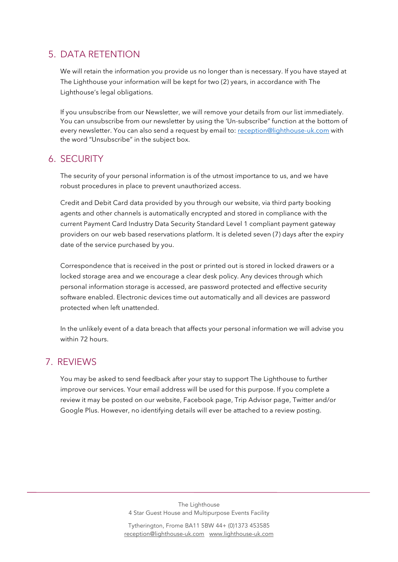# 5. DATA RETENTION

We will retain the information you provide us no longer than is necessary. If you have stayed at The Lighthouse your information will be kept for two (2) years, in accordance with The Lighthouse's legal obligations.

If you unsubscribe from our Newsletter, we will remove your details from our list immediately. You can unsubscribe from our newsletter by using the 'Un-subscribe" function at the bottom of every newsletter. You can also send a request by email to: reception@lighthouse-uk.com with the word "Unsubscribe" in the subject box.

#### 6. SECURITY

The security of your personal information is of the utmost importance to us, and we have robust procedures in place to prevent unauthorized access.

Credit and Debit Card data provided by you through our website, via third party booking agents and other channels is automatically encrypted and stored in compliance with the current Payment Card Industry Data Security Standard Level 1 compliant payment gateway providers on our web based reservations platform. It is deleted seven (7) days after the expiry date of the service purchased by you.

Correspondence that is received in the post or printed out is stored in locked drawers or a locked storage area and we encourage a clear desk policy. Any devices through which personal information storage is accessed, are password protected and effective security software enabled. Electronic devices time out automatically and all devices are password protected when left unattended.

In the unlikely event of a data breach that affects your personal information we will advise you within 72 hours.

#### 7. REVIEWS

You may be asked to send feedback after your stay to support The Lighthouse to further improve our services. Your email address will be used for this purpose. If you complete a review it may be posted on our website, Facebook page, Trip Advisor page, Twitter and/or Google Plus. However, no identifying details will ever be attached to a review posting.

> The Lighthouse 4 Star Guest House and Multipurpose Events Facility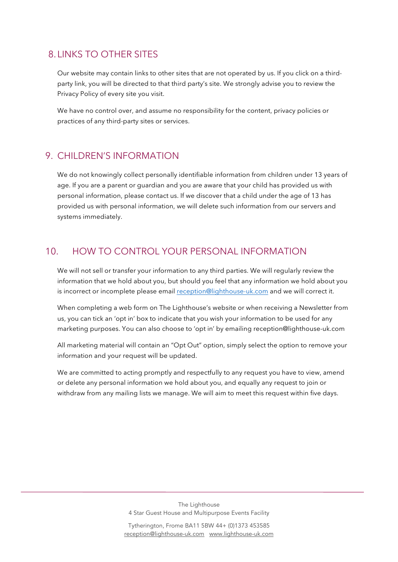## 8.LINKS TO OTHER SITES

Our website may contain links to other sites that are not operated by us. If you click on a thirdparty link, you will be directed to that third party's site. We strongly advise you to review the Privacy Policy of every site you visit.

We have no control over, and assume no responsibility for the content, privacy policies or practices of any third-party sites or services.

#### 9. CHILDREN'S INFORMATION

We do not knowingly collect personally identifiable information from children under 13 years of age. If you are a parent or guardian and you are aware that your child has provided us with personal information, please contact us. If we discover that a child under the age of 13 has provided us with personal information, we will delete such information from our servers and systems immediately.

### 10. HOW TO CONTROL YOUR PERSONAL INFORMATION

We will not sell or transfer your information to any third parties. We will regularly review the information that we hold about you, but should you feel that any information we hold about you is incorrect or incomplete please email reception@lighthouse-uk.com and we will correct it.

When completing a web form on The Lighthouse's website or when receiving a Newsletter from us, you can tick an 'opt in' box to indicate that you wish your information to be used for any marketing purposes. You can also choose to 'opt in' by emailing reception@lighthouse-uk.com

All marketing material will contain an "Opt Out" option, simply select the option to remove your information and your request will be updated.

We are committed to acting promptly and respectfully to any request you have to view, amend or delete any personal information we hold about you, and equally any request to join or withdraw from any mailing lists we manage. We will aim to meet this request within five days.

> The Lighthouse 4 Star Guest House and Multipurpose Events Facility